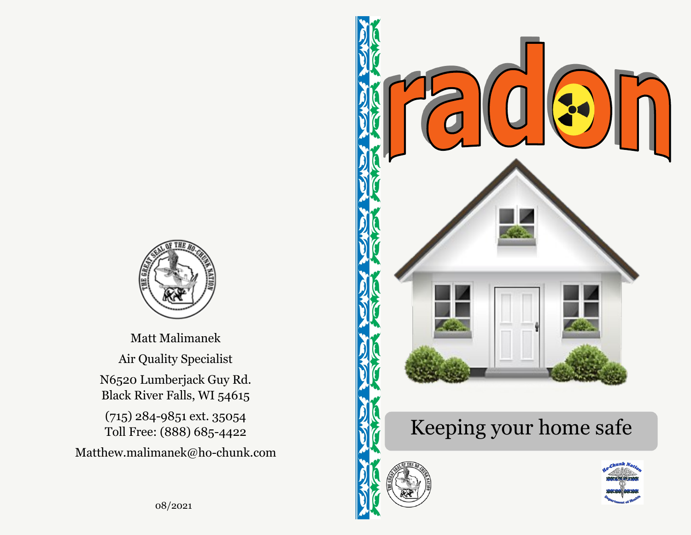

Matt Malimanek Air Quality Specialist N6520 Lumberjack Guy Rd. Black River Falls, WI 54615 (715) 284-9851 ext. 35054 Toll Free: (888) 685-4422

Matthew.malimanek@ho-chunk.com



## Keeping your home safe



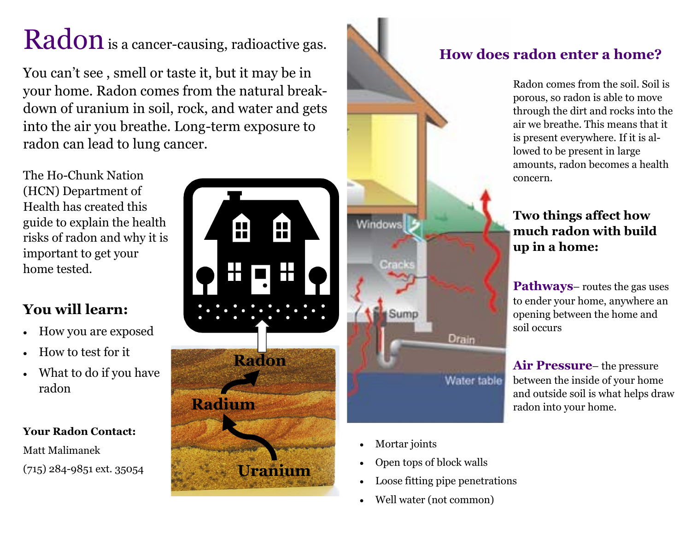# Radon is a cancer-causing, radioactive gas.

You can't see , smell or taste it, but it may be in your home. Radon comes from the natural breakdown of uranium in soil, rock, and water and gets into the air you breathe. Long-term exposure to radon can lead to lung cancer.

The Ho-Chunk Nation (HCN) Department of Health has created this guide to explain the health risks of radon and why it is important to get your home tested.

## **You will learn:**

- How you are exposed
- How to test for it
- What to do if you have radon

#### **Your Radon Contact:**

Matt Malimanek





- Mortar joints
- Open tops of block walls
- Loose fitting pipe penetrations
- Well water (not common)

## **How does radon enter a home?**

Radon comes from the soil. Soil is porous, so radon is able to move through the dirt and rocks into the air we breathe. This means that it is present everywhere. If it is allowed to be present in large amounts, radon becomes a health concern.

#### **Two things affect how much radon with build up in a home:**

**Pathways**– routes the gas uses to ender your home, anywhere an opening between the home and soil occurs

**Air Pressure**– the pressure between the inside of your home and outside soil is what helps draw radon into your home.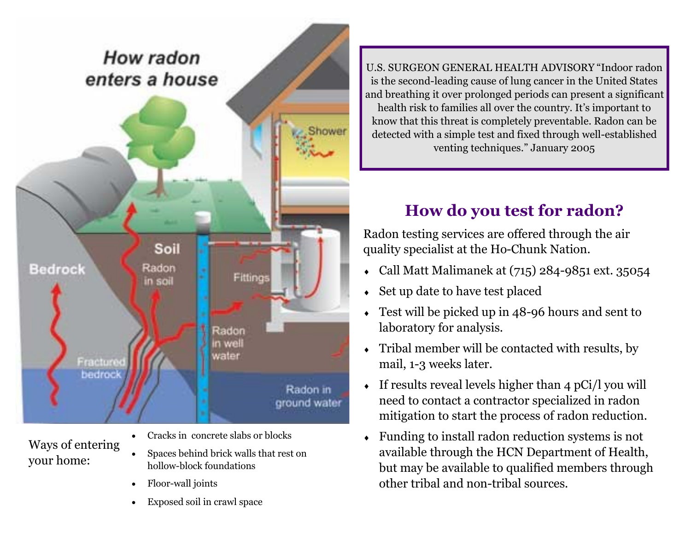

Ways of entering your home:

- Cracks in concrete slabs or blocks
- Spaces behind brick walls that rest on hollow-block foundations
- Floor-wall joints
- Exposed soil in crawl space

U.S. SURGEON GENERAL HEALTH ADVISORY "Indoor radon is the second-leading cause of lung cancer in the United States and breathing it over prolonged periods can present a significant health risk to families all over the country. It's important to know that this threat is completely preventable. Radon can be detected with a simple test and fixed through well-established venting techniques." January 2005

## **How do you test for radon?**

Radon testing services are offered through the air quality specialist at the Ho-Chunk Nation.

- Call Matt Malimanek at (715) 284-9851 ext. 35054
- Set up date to have test placed
- Test will be picked up in 48-96 hours and sent to laboratory for analysis.
- Tribal member will be contacted with results, by mail, 1-3 weeks later.
- $\bullet$  If results reveal levels higher than 4 pCi/l you will need to contact a contractor specialized in radon mitigation to start the process of radon reduction.
- Funding to install radon reduction systems is not available through the HCN Department of Health, but may be available to qualified members through other tribal and non-tribal sources.